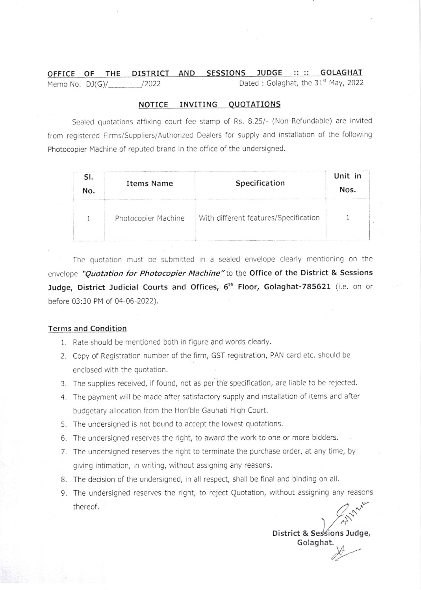#### OFFICE OF THE DISTRICT AND SESSIONS JUDGE :: :: **GOLAGHAT** Memo No.  $DJ(G)/$  /2022 Dated : Golaghat, the 31<sup>st</sup> May, 2022

#### NOTICE INVITING OUOTATIONS

Sealed quotations affixing court fee stamp of Rs. 8.25/- (Non-Refundable) are invited from registered Firms/Suppliers/Authorized Dealers for supply and installation of the following Photocopier Machine of reputed brand in the office of the undersigned.

| No. | <b>Items Name</b>   | Specification                         | Unit in<br>Nos. |
|-----|---------------------|---------------------------------------|-----------------|
|     | Photocopier Machine | With different features/Specification |                 |

The quotation must be submitted in a sealed envelope clearly mentioning on the envelope "Quotation for Photocopier Machine" to the Office of the District & Sessions Judge, District Judicial Courts and Offices, 6<sup>th</sup> Floor, Golaghat-785621 (i.e. on or before 03:30 PM of 0a-06-2022).

### Terms and Condition

- 1. Rate should be mentioned both in figure and words clearly.
- 2. Copy of Registration number of the firm, GST registration, PAN card etc. should be enclosed with the quotation.
- 3. The supplies received, if found, not as per the specification, are liable to be rejected.
- 4. The payment will be made after satisfactory supply and installation of items and after budgetary allocation from the Hon'ble Gauhati High Court.
- 5. The undersigned is not bound to accept the lowest quotations.
- 6. The undersigned reserves the right, to award the work to one or more bidders.
- 7. The undersigned reserves the right to terminate the purchase order, at any time, by giving intimation, in writing, without assigning any reasons.
- 8. The decision of the undersigned, in all respect, shall be final and binding on all.
- 9. The undersigned reserves the right, to reject Quotation, without assigning any reasons thereof,  $\left\langle \right\rangle$

District & Sessions Judge, Golaghat.